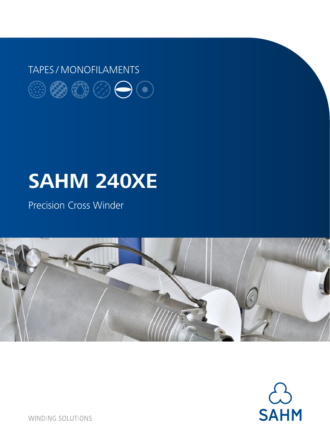## TAPES / MONOFILAMENTS $\circledcircledast \circledast \circledast \circledcirc$

# **SAHM 240XE**

Precision Cross Winder





**WINDING SOLUTIONS**